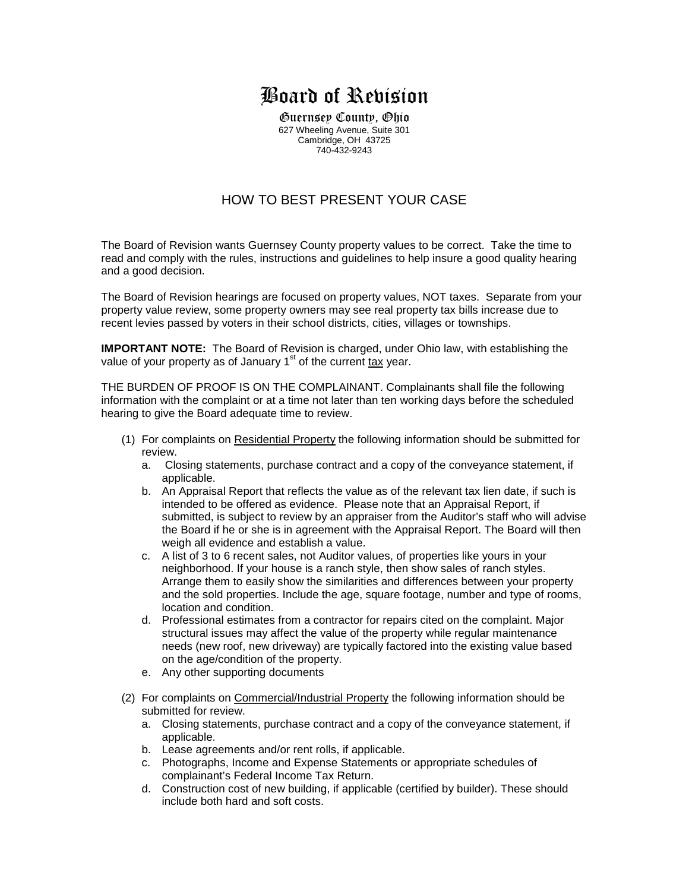## Board of Revision

Guernsey County, Ohio 627 Wheeling Avenue, Suite 301 Cambridge, OH 43725 740-432-9243

## HOW TO BEST PRESENT YOUR CASE

The Board of Revision wants Guernsey County property values to be correct. Take the time to read and comply with the rules, instructions and guidelines to help insure a good quality hearing and a good decision.

The Board of Revision hearings are focused on property values, NOT taxes. Separate from your property value review, some property owners may see real property tax bills increase due to recent levies passed by voters in their school districts, cities, villages or townships.

**IMPORTANT NOTE:** The Board of Revision is charged, under Ohio law, with establishing the value of your property as of January  $1<sup>st</sup>$  of the current tax year.

THE BURDEN OF PROOF IS ON THE COMPLAINANT. Complainants shall file the following information with the complaint or at a time not later than ten working days before the scheduled hearing to give the Board adequate time to review.

- (1) For complaints on Residential Property the following information should be submitted for review.
	- a. Closing statements, purchase contract and a copy of the conveyance statement, if applicable.
	- b. An Appraisal Report that reflects the value as of the relevant tax lien date, if such is intended to be offered as evidence. Please note that an Appraisal Report, if submitted, is subject to review by an appraiser from the Auditor's staff who will advise the Board if he or she is in agreement with the Appraisal Report. The Board will then weigh all evidence and establish a value.
	- c. A list of 3 to 6 recent sales, not Auditor values, of properties like yours in your neighborhood. If your house is a ranch style, then show sales of ranch styles. Arrange them to easily show the similarities and differences between your property and the sold properties. Include the age, square footage, number and type of rooms, location and condition.
	- d. Professional estimates from a contractor for repairs cited on the complaint. Major structural issues may affect the value of the property while regular maintenance needs (new roof, new driveway) are typically factored into the existing value based on the age/condition of the property.
	- e. Any other supporting documents
- (2) For complaints on Commercial/Industrial Property the following information should be submitted for review.
	- a. Closing statements, purchase contract and a copy of the conveyance statement, if applicable.
	- b. Lease agreements and/or rent rolls, if applicable.
	- c. Photographs, Income and Expense Statements or appropriate schedules of complainant's Federal Income Tax Return.
	- d. Construction cost of new building, if applicable (certified by builder). These should include both hard and soft costs.